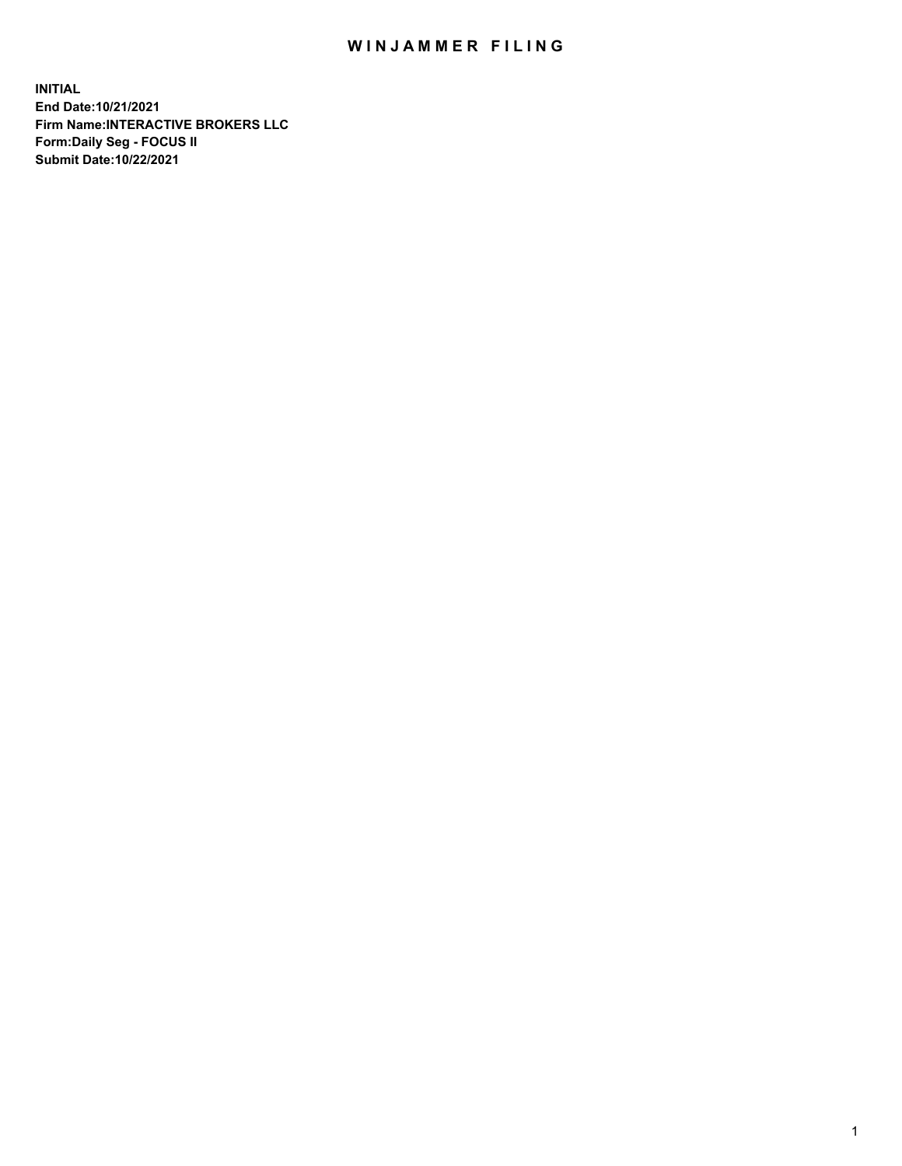## WIN JAMMER FILING

**INITIAL End Date:10/21/2021 Firm Name:INTERACTIVE BROKERS LLC Form:Daily Seg - FOCUS II Submit Date:10/22/2021**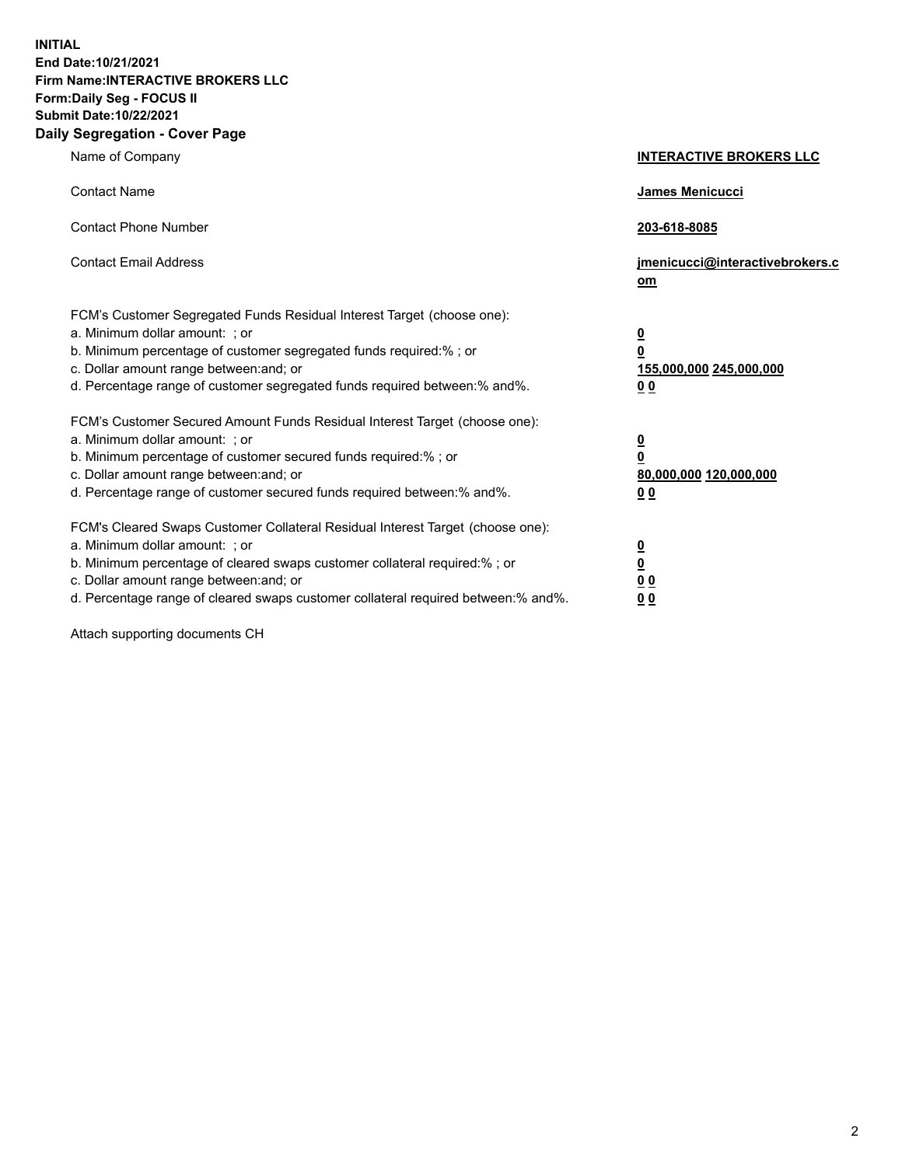**INITIAL End Date:10/21/2021 Firm Name:INTERACTIVE BROKERS LLC Form:Daily Seg - FOCUS II Submit Date:10/22/2021 Daily Segregation - Cover Page**

| Name of Company                                                                                                                                                                                                                                                                                                                | <b>INTERACTIVE BROKERS LLC</b>                                                                           |
|--------------------------------------------------------------------------------------------------------------------------------------------------------------------------------------------------------------------------------------------------------------------------------------------------------------------------------|----------------------------------------------------------------------------------------------------------|
| <b>Contact Name</b>                                                                                                                                                                                                                                                                                                            | James Menicucci                                                                                          |
| <b>Contact Phone Number</b>                                                                                                                                                                                                                                                                                                    | 203-618-8085                                                                                             |
| <b>Contact Email Address</b>                                                                                                                                                                                                                                                                                                   | jmenicucci@interactivebrokers.c<br>om                                                                    |
| FCM's Customer Segregated Funds Residual Interest Target (choose one):<br>a. Minimum dollar amount: ; or<br>b. Minimum percentage of customer segregated funds required:%; or<br>c. Dollar amount range between: and; or<br>d. Percentage range of customer segregated funds required between:% and%.                          | <u>0</u><br>$\overline{\mathbf{0}}$<br>155,000,000 245,000,000<br>0 <sub>0</sub>                         |
| FCM's Customer Secured Amount Funds Residual Interest Target (choose one):<br>a. Minimum dollar amount: ; or<br>b. Minimum percentage of customer secured funds required:%; or<br>c. Dollar amount range between: and; or<br>d. Percentage range of customer secured funds required between:% and%.                            | <u>0</u><br>$\overline{\mathbf{0}}$<br>80,000,000 120,000,000<br><u>00</u>                               |
| FCM's Cleared Swaps Customer Collateral Residual Interest Target (choose one):<br>a. Minimum dollar amount: ; or<br>b. Minimum percentage of cleared swaps customer collateral required:% ; or<br>c. Dollar amount range between: and; or<br>d. Percentage range of cleared swaps customer collateral required between:% and%. | $\overline{\mathbf{0}}$<br>$\underline{\mathbf{0}}$<br>$\underline{0}$ $\underline{0}$<br>0 <sub>0</sub> |

Attach supporting documents CH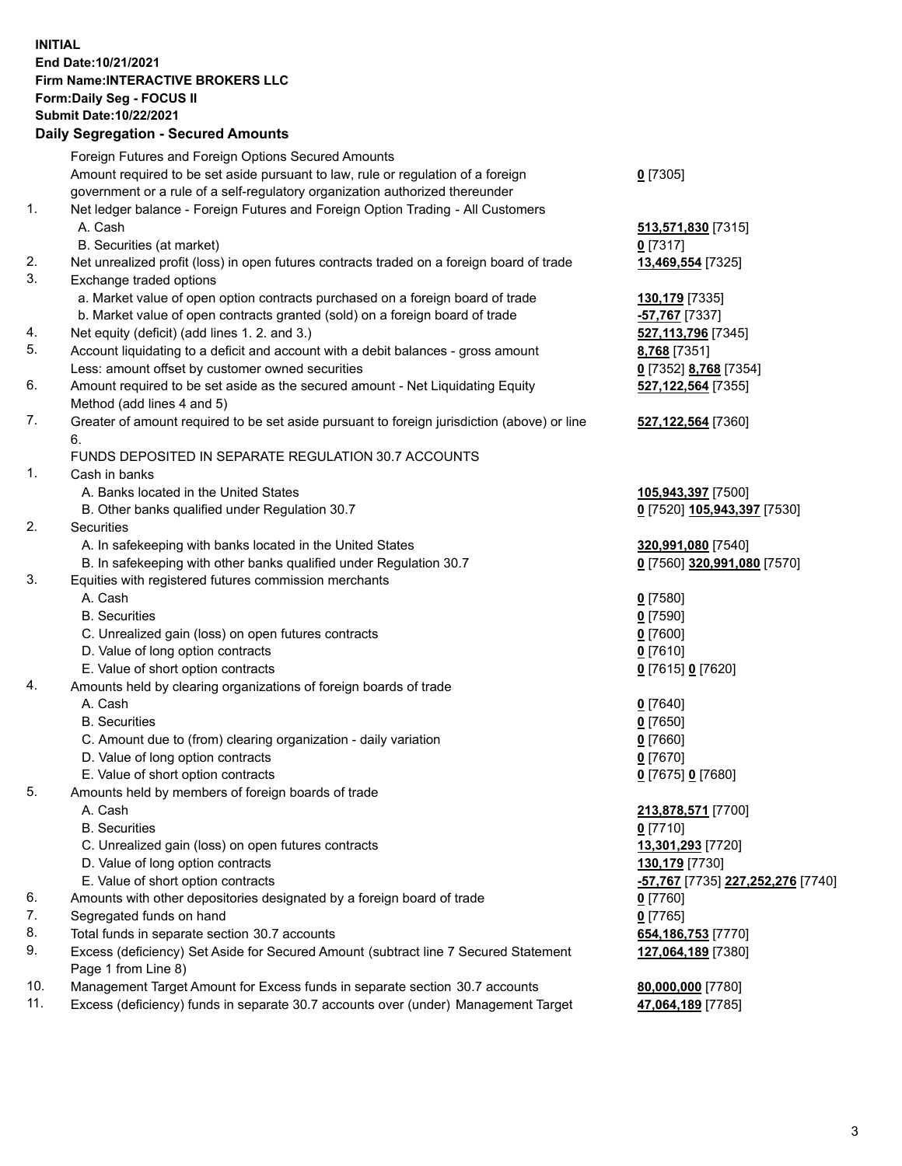## **INITIAL End Date:10/21/2021 Firm Name:INTERACTIVE BROKERS LLC Form:Daily Seg - FOCUS II Submit Date:10/22/2021 Daily Segregation - Secured Amounts**

|     | Daily Segregation - Secured Amounts                                                         |                                                               |
|-----|---------------------------------------------------------------------------------------------|---------------------------------------------------------------|
|     | Foreign Futures and Foreign Options Secured Amounts                                         |                                                               |
|     | Amount required to be set aside pursuant to law, rule or regulation of a foreign            | $0$ [7305]                                                    |
|     | government or a rule of a self-regulatory organization authorized thereunder                |                                                               |
| 1.  | Net ledger balance - Foreign Futures and Foreign Option Trading - All Customers             |                                                               |
|     | A. Cash                                                                                     | 513,571,830 [7315]                                            |
|     | B. Securities (at market)                                                                   | $0$ [7317]                                                    |
| 2.  | Net unrealized profit (loss) in open futures contracts traded on a foreign board of trade   | 13,469,554 [7325]                                             |
| 3.  | Exchange traded options                                                                     |                                                               |
|     | a. Market value of open option contracts purchased on a foreign board of trade              | 130,179 [7335]                                                |
|     | b. Market value of open contracts granted (sold) on a foreign board of trade                | -57,767 [7337]                                                |
| 4.  | Net equity (deficit) (add lines 1. 2. and 3.)                                               | 527,113,796 [7345]                                            |
| 5.  | Account liquidating to a deficit and account with a debit balances - gross amount           | 8,768 [7351]                                                  |
|     | Less: amount offset by customer owned securities                                            | 0 [7352] 8,768 [7354]                                         |
| 6.  | Amount required to be set aside as the secured amount - Net Liquidating Equity              | 527,122,564 [7355]                                            |
|     | Method (add lines 4 and 5)                                                                  |                                                               |
| 7.  | Greater of amount required to be set aside pursuant to foreign jurisdiction (above) or line | 527,122,564 [7360]                                            |
|     | 6.                                                                                          |                                                               |
|     | FUNDS DEPOSITED IN SEPARATE REGULATION 30.7 ACCOUNTS                                        |                                                               |
| 1.  | Cash in banks                                                                               |                                                               |
|     | A. Banks located in the United States                                                       | 105,943,397 [7500]                                            |
|     | B. Other banks qualified under Regulation 30.7                                              | 0 [7520] 105,943,397 [7530]                                   |
| 2.  | <b>Securities</b>                                                                           |                                                               |
|     | A. In safekeeping with banks located in the United States                                   | 320,991,080 [7540]                                            |
|     | B. In safekeeping with other banks qualified under Regulation 30.7                          | 0 [7560] 320,991,080 [7570]                                   |
| 3.  | Equities with registered futures commission merchants                                       |                                                               |
|     | A. Cash                                                                                     | $0$ [7580]                                                    |
|     | <b>B.</b> Securities                                                                        | $0$ [7590]                                                    |
|     | C. Unrealized gain (loss) on open futures contracts                                         | $0$ [7600]                                                    |
|     | D. Value of long option contracts                                                           | $0$ [7610]                                                    |
|     | E. Value of short option contracts                                                          | 0 [7615] 0 [7620]                                             |
| 4.  | Amounts held by clearing organizations of foreign boards of trade                           |                                                               |
|     | A. Cash                                                                                     | $0$ [7640]                                                    |
|     | <b>B.</b> Securities                                                                        | $0$ [7650]                                                    |
|     | C. Amount due to (from) clearing organization - daily variation                             | $0$ [7660]                                                    |
|     | D. Value of long option contracts                                                           | $0$ [7670]                                                    |
|     | E. Value of short option contracts                                                          | 0 [7675] 0 [7680]                                             |
| 5.  | Amounts held by members of foreign boards of trade                                          |                                                               |
|     | A. Cash                                                                                     | 213,878,571 [7700]                                            |
|     | <b>B.</b> Securities                                                                        | $0$ [7710]                                                    |
|     | C. Unrealized gain (loss) on open futures contracts                                         | 13,301,293 [7720]                                             |
|     | D. Value of long option contracts                                                           | 130,179 [7730]                                                |
|     | E. Value of short option contracts                                                          | <mark>-57,767</mark> [7735] <b><u>227,252,276</u> [7740</b> ] |
| 6.  | Amounts with other depositories designated by a foreign board of trade                      | 0 [7760]                                                      |
| 7.  | Segregated funds on hand                                                                    | $0$ [7765]                                                    |
| 8.  | Total funds in separate section 30.7 accounts                                               | 654, 186, 753 [7770]                                          |
| 9.  | Excess (deficiency) Set Aside for Secured Amount (subtract line 7 Secured Statement         | 127,064,189 [7380]                                            |
|     | Page 1 from Line 8)                                                                         |                                                               |
| 10. | Management Target Amount for Excess funds in separate section 30.7 accounts                 | 80,000,000 [7780]                                             |
| 11. | Excess (deficiency) funds in separate 30.7 accounts over (under) Management Target          | 47,064,189 [7785]                                             |
|     |                                                                                             |                                                               |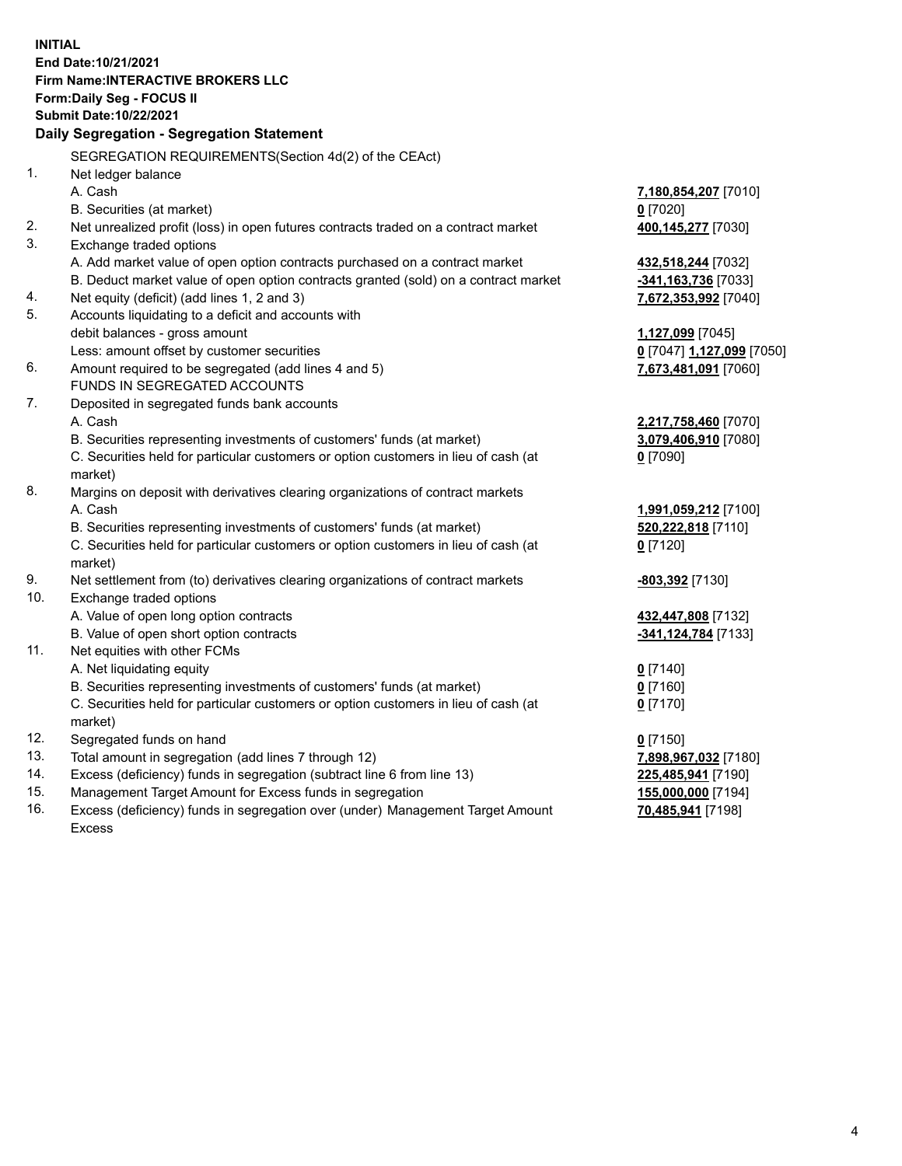**INITIAL End Date:10/21/2021 Firm Name:INTERACTIVE BROKERS LLC Form:Daily Seg - FOCUS II Submit Date:10/22/2021 Daily Segregation - Segregation Statement** SEGREGATION REQUIREMENTS(Section 4d(2) of the CEAct) 1. Net ledger balance A. Cash **7,180,854,207** [7010] B. Securities (at market) **0** [7020] 2. Net unrealized profit (loss) in open futures contracts traded on a contract market **400,145,277** [7030] 3. Exchange traded options A. Add market value of open option contracts purchased on a contract market **432,518,244** [7032] B. Deduct market value of open option contracts granted (sold) on a contract market **-341,163,736** [7033] 4. Net equity (deficit) (add lines 1, 2 and 3) **7,672,353,992** [7040] 5. Accounts liquidating to a deficit and accounts with debit balances - gross amount **1,127,099** [7045] Less: amount offset by customer securities **0** [7047] **1,127,099** [7050] 6. Amount required to be segregated (add lines 4 and 5) **7,673,481,091** [7060] FUNDS IN SEGREGATED ACCOUNTS 7. Deposited in segregated funds bank accounts A. Cash **2,217,758,460** [7070] B. Securities representing investments of customers' funds (at market) **3,079,406,910** [7080] C. Securities held for particular customers or option customers in lieu of cash (at market) **0** [7090] 8. Margins on deposit with derivatives clearing organizations of contract markets A. Cash **1,991,059,212** [7100] B. Securities representing investments of customers' funds (at market) **520,222,818** [7110] C. Securities held for particular customers or option customers in lieu of cash (at market) **0** [7120] 9. Net settlement from (to) derivatives clearing organizations of contract markets **-803,392** [7130] 10. Exchange traded options A. Value of open long option contracts **432,447,808** [7132] B. Value of open short option contracts **-341,124,784** [7133] 11. Net equities with other FCMs A. Net liquidating equity **0** [7140] B. Securities representing investments of customers' funds (at market) **0** [7160] C. Securities held for particular customers or option customers in lieu of cash (at market) **0** [7170] 12. Segregated funds on hand **0** [7150] 13. Total amount in segregation (add lines 7 through 12) **7,898,967,032** [7180] 14. Excess (deficiency) funds in segregation (subtract line 6 from line 13) **225,485,941** [7190] 15. Management Target Amount for Excess funds in segregation **155,000,000** [7194] 16. Excess (deficiency) funds in segregation over (under) Management Target Amount **70,485,941** [7198]

Excess